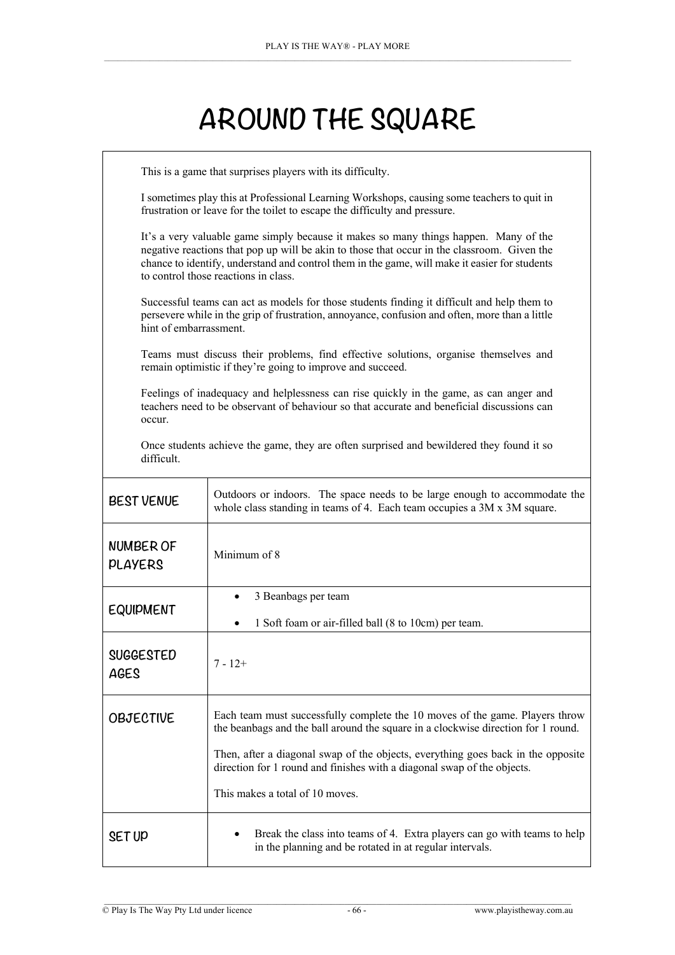## **AROUND THE SQUARE**

| This is a game that surprises players with its difficulty.                                                                                                                                                                                                                                                                   |                                                                                                                                                                                                                         |  |  |
|------------------------------------------------------------------------------------------------------------------------------------------------------------------------------------------------------------------------------------------------------------------------------------------------------------------------------|-------------------------------------------------------------------------------------------------------------------------------------------------------------------------------------------------------------------------|--|--|
|                                                                                                                                                                                                                                                                                                                              | I sometimes play this at Professional Learning Workshops, causing some teachers to quit in<br>frustration or leave for the toilet to escape the difficulty and pressure.                                                |  |  |
| It's a very valuable game simply because it makes so many things happen. Many of the<br>negative reactions that pop up will be akin to those that occur in the classroom. Given the<br>chance to identify, understand and control them in the game, will make it easier for students<br>to control those reactions in class. |                                                                                                                                                                                                                         |  |  |
|                                                                                                                                                                                                                                                                                                                              | Successful teams can act as models for those students finding it difficult and help them to<br>persevere while in the grip of frustration, annoyance, confusion and often, more than a little<br>hint of embarrassment. |  |  |
| Teams must discuss their problems, find effective solutions, organise themselves and<br>remain optimistic if they're going to improve and succeed.                                                                                                                                                                           |                                                                                                                                                                                                                         |  |  |
| Feelings of inadequacy and helplessness can rise quickly in the game, as can anger and<br>teachers need to be observant of behaviour so that accurate and beneficial discussions can<br>occur.                                                                                                                               |                                                                                                                                                                                                                         |  |  |
| Once students achieve the game, they are often surprised and bewildered they found it so<br>difficult.                                                                                                                                                                                                                       |                                                                                                                                                                                                                         |  |  |
| <b>BEST VENUE</b>                                                                                                                                                                                                                                                                                                            | Outdoors or indoors. The space needs to be large enough to accommodate the<br>whole class standing in teams of 4. Each team occupies a 3M x 3M square.                                                                  |  |  |
| <b>NUMBER OF</b><br><b>PLAYERS</b>                                                                                                                                                                                                                                                                                           | Minimum of 8                                                                                                                                                                                                            |  |  |
| <b>EQUIPMENT</b>                                                                                                                                                                                                                                                                                                             | 3 Beanbags per team<br>$\bullet$                                                                                                                                                                                        |  |  |
|                                                                                                                                                                                                                                                                                                                              | 1 Soft foam or air-filled ball (8 to 10cm) per team.<br>$\bullet$                                                                                                                                                       |  |  |
| <b>SUGGESTED</b><br>AGES                                                                                                                                                                                                                                                                                                     | 7 - 12+                                                                                                                                                                                                                 |  |  |
| OBJECTIVE                                                                                                                                                                                                                                                                                                                    | Each team must successfully complete the 10 moves of the game. Players throw<br>the beanbags and the ball around the square in a clockwise direction for 1 round.                                                       |  |  |
|                                                                                                                                                                                                                                                                                                                              | Then, after a diagonal swap of the objects, everything goes back in the opposite<br>direction for 1 round and finishes with a diagonal swap of the objects.                                                             |  |  |
|                                                                                                                                                                                                                                                                                                                              | This makes a total of 10 moves.                                                                                                                                                                                         |  |  |
| SET UP                                                                                                                                                                                                                                                                                                                       | Break the class into teams of 4. Extra players can go with teams to help<br>in the planning and be rotated in at regular intervals.                                                                                     |  |  |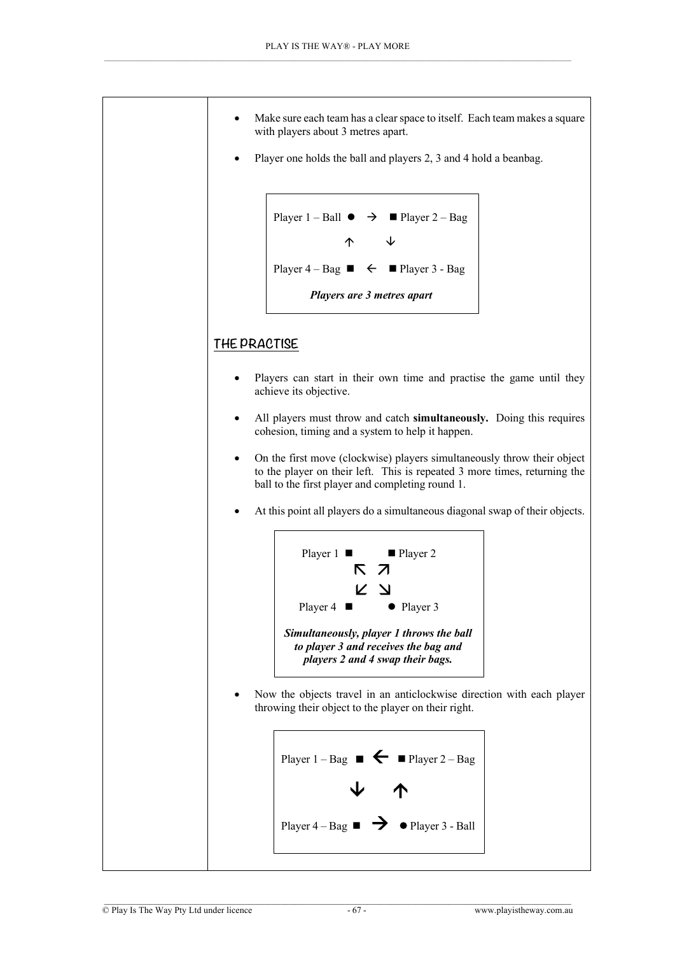

Player one holds the ball and players 2, 3 and 4 hold a beanbag.

```
Player 1 - Ball \rightarrow Player 2 - Bag\uparrow \uparrowPlayer 4 - Bag \rightarrow \bullet \bullet Player 3 - Bag
Players are 3 metres apart
```
## **THE PRACTISE**

- Players can start in their own time and practise the game until they achieve its objective.
- All players must throw and catch **simultaneously.** Doing this requires cohesion, timing and a system to help it happen.
- On the first move (clockwise) players simultaneously throw their object to the player on their left. This is repeated 3 more times, returning the ball to the first player and completing round 1.
- At this point all players do a simultaneous diagonal swap of their objects.



• Now the objects travel in an anticlockwise direction with each player throwing their object to the player on their right.

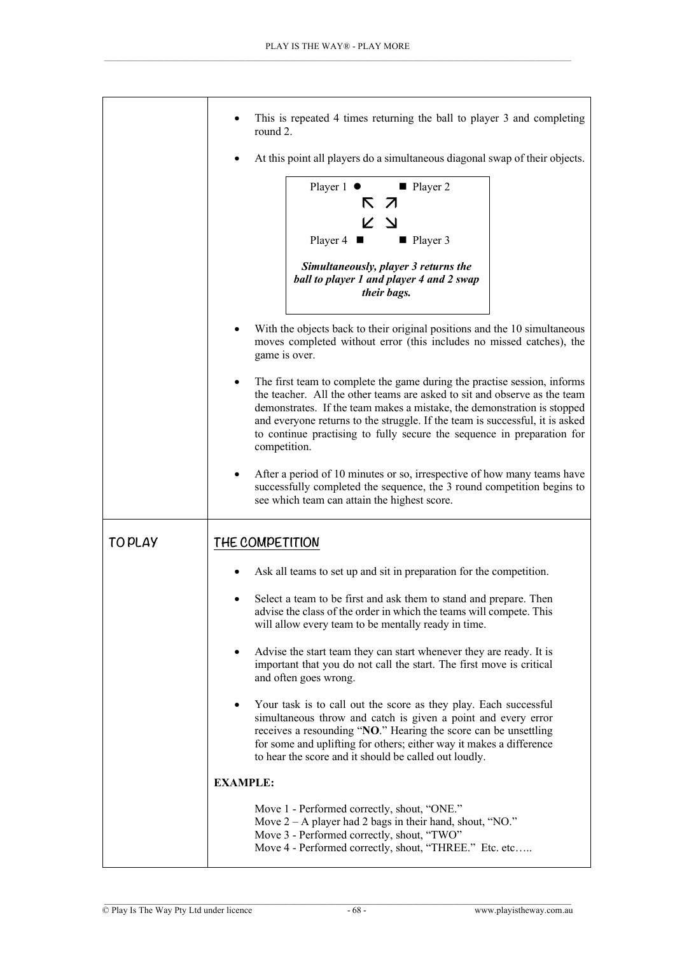|               | This is repeated 4 times returning the ball to player 3 and completing<br>round 2.                                                                                                                                                                                                                                                                                                                                      |
|---------------|-------------------------------------------------------------------------------------------------------------------------------------------------------------------------------------------------------------------------------------------------------------------------------------------------------------------------------------------------------------------------------------------------------------------------|
|               | At this point all players do a simultaneous diagonal swap of their objects.                                                                                                                                                                                                                                                                                                                                             |
|               | Player 1 ● ■ Player 2<br>K 7<br>K Y<br>Player 4<br>■ Player 3<br>Simultaneously, player 3 returns the<br>ball to player 1 and player 4 and 2 swap                                                                                                                                                                                                                                                                       |
|               | their bags.                                                                                                                                                                                                                                                                                                                                                                                                             |
|               | With the objects back to their original positions and the 10 simultaneous<br>moves completed without error (this includes no missed catches), the<br>game is over.                                                                                                                                                                                                                                                      |
|               | The first team to complete the game during the practise session, informs<br>$\bullet$<br>the teacher. All the other teams are asked to sit and observe as the team<br>demonstrates. If the team makes a mistake, the demonstration is stopped<br>and everyone returns to the struggle. If the team is successful, it is asked<br>to continue practising to fully secure the sequence in preparation for<br>competition. |
|               | After a period of 10 minutes or so, irrespective of how many teams have<br>$\bullet$<br>successfully completed the sequence, the 3 round competition begins to<br>see which team can attain the highest score.                                                                                                                                                                                                          |
| <b>TOPLAY</b> | THE COMPETITION                                                                                                                                                                                                                                                                                                                                                                                                         |
|               | Ask all teams to set up and sit in preparation for the competition.                                                                                                                                                                                                                                                                                                                                                     |
|               | Select a team to be first and ask them to stand and prepare. Then<br>advise the class of the order in which the teams will compete. This<br>will allow every team to be mentally ready in time.                                                                                                                                                                                                                         |
|               | Advise the start team they can start whenever they are ready. It is<br>٠<br>important that you do not call the start. The first move is critical<br>and often goes wrong.                                                                                                                                                                                                                                               |
|               | Your task is to call out the score as they play. Each successful<br>simultaneous throw and catch is given a point and every error<br>receives a resounding "NO." Hearing the score can be unsettling<br>for some and uplifting for others; either way it makes a difference<br>to hear the score and it should be called out loudly.                                                                                    |
|               | <b>EXAMPLE:</b>                                                                                                                                                                                                                                                                                                                                                                                                         |
|               | Move 1 - Performed correctly, shout, "ONE."<br>Move $2 - A$ player had 2 bags in their hand, shout, "NO."<br>Move 3 - Performed correctly, shout, "TWO"<br>Move 4 - Performed correctly, shout, "THREE." Etc. etc                                                                                                                                                                                                       |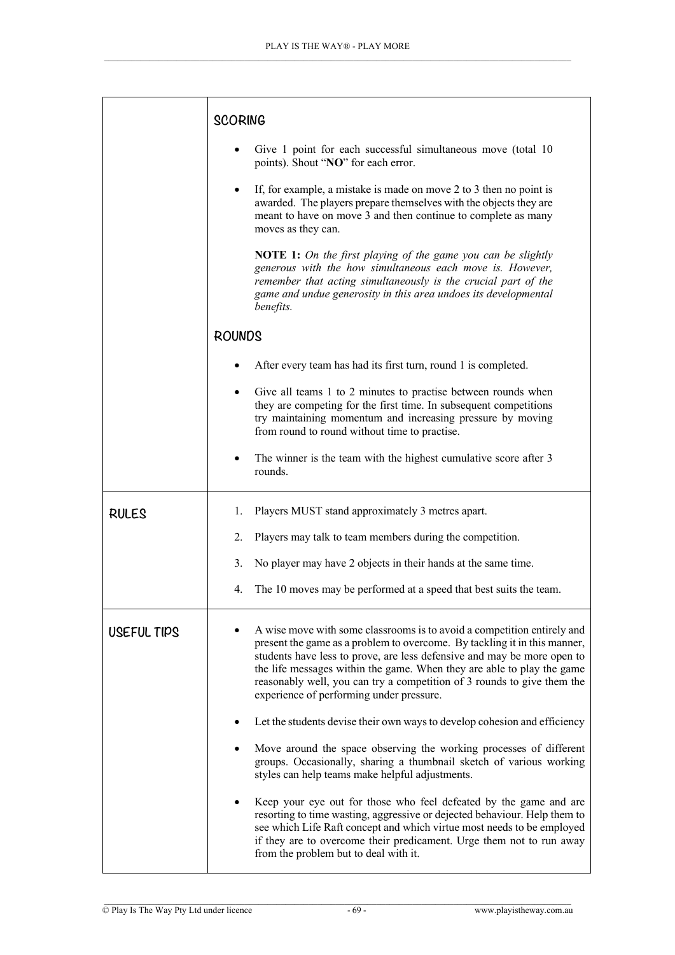|              | <b>SCORING</b>                                                                                                                                                                                                                                                                                                                                                                                                                   |
|--------------|----------------------------------------------------------------------------------------------------------------------------------------------------------------------------------------------------------------------------------------------------------------------------------------------------------------------------------------------------------------------------------------------------------------------------------|
|              | Give 1 point for each successful simultaneous move (total 10<br>points). Shout "NO" for each error.                                                                                                                                                                                                                                                                                                                              |
|              | If, for example, a mistake is made on move 2 to 3 then no point is<br>awarded. The players prepare themselves with the objects they are<br>meant to have on move 3 and then continue to complete as many<br>moves as they can.                                                                                                                                                                                                   |
|              | <b>NOTE 1:</b> On the first playing of the game you can be slightly<br>generous with the how simultaneous each move is. However,<br>remember that acting simultaneously is the crucial part of the<br>game and undue generosity in this area undoes its developmental<br>benefits.                                                                                                                                               |
|              | <b>ROUNDS</b>                                                                                                                                                                                                                                                                                                                                                                                                                    |
|              | After every team has had its first turn, round 1 is completed.                                                                                                                                                                                                                                                                                                                                                                   |
|              | Give all teams 1 to 2 minutes to practise between rounds when<br>they are competing for the first time. In subsequent competitions<br>try maintaining momentum and increasing pressure by moving<br>from round to round without time to practise.                                                                                                                                                                                |
|              | The winner is the team with the highest cumulative score after 3<br>$\bullet$<br>rounds.                                                                                                                                                                                                                                                                                                                                         |
| <b>RULES</b> | Players MUST stand approximately 3 metres apart.<br>1.                                                                                                                                                                                                                                                                                                                                                                           |
|              | Players may talk to team members during the competition.<br>2.                                                                                                                                                                                                                                                                                                                                                                   |
|              | 3.<br>No player may have 2 objects in their hands at the same time.                                                                                                                                                                                                                                                                                                                                                              |
|              | The 10 moves may be performed at a speed that best suits the team.<br>4.                                                                                                                                                                                                                                                                                                                                                         |
| USEFUL TIPS  | A wise move with some classrooms is to avoid a competition entirely and<br>present the game as a problem to overcome. By tackling it in this manner,<br>students have less to prove, are less defensive and may be more open to<br>the life messages within the game. When they are able to play the game<br>reasonably well, you can try a competition of 3 rounds to give them the<br>experience of performing under pressure. |
|              | Let the students devise their own ways to develop cohesion and efficiency                                                                                                                                                                                                                                                                                                                                                        |
|              | Move around the space observing the working processes of different<br>groups. Occasionally, sharing a thumbnail sketch of various working<br>styles can help teams make helpful adjustments.                                                                                                                                                                                                                                     |
|              | Keep your eye out for those who feel defeated by the game and are<br>resorting to time wasting, aggressive or dejected behaviour. Help them to<br>see which Life Raft concept and which virtue most needs to be employed<br>if they are to overcome their predicament. Urge them not to run away<br>from the problem but to deal with it.                                                                                        |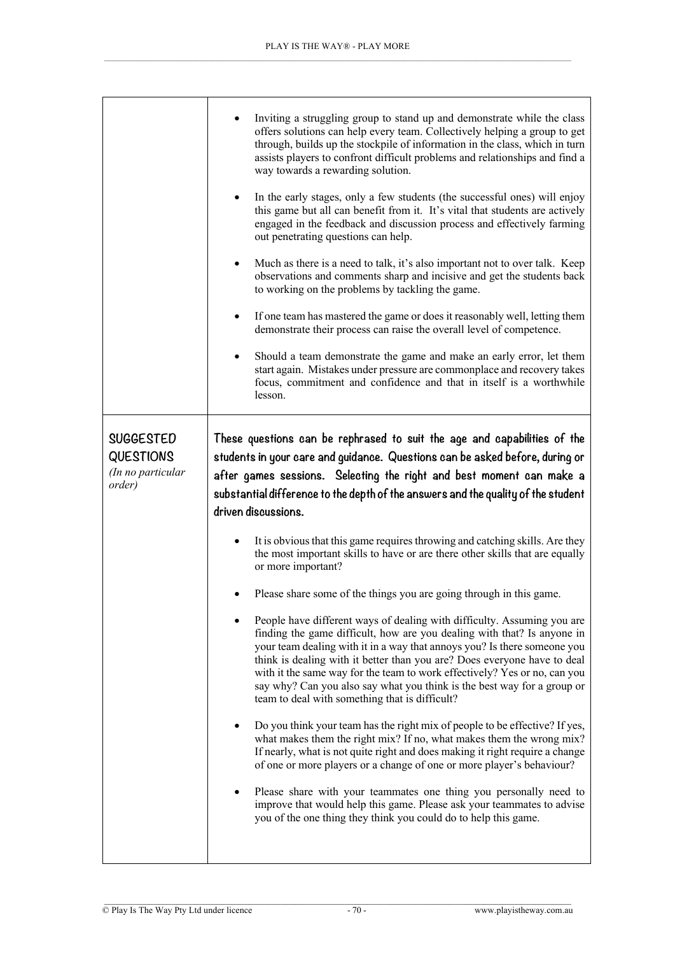|                                                                     | Inviting a struggling group to stand up and demonstrate while the class<br>offers solutions can help every team. Collectively helping a group to get<br>through, builds up the stockpile of information in the class, which in turn<br>assists players to confront difficult problems and relationships and find a<br>way towards a rewarding solution.<br>In the early stages, only a few students (the successful ones) will enjoy<br>$\bullet$<br>this game but all can benefit from it. It's vital that students are actively<br>engaged in the feedback and discussion process and effectively farming<br>out penetrating questions can help.<br>Much as there is a need to talk, it's also important not to over talk. Keep<br>$\bullet$<br>observations and comments sharp and incisive and get the students back<br>to working on the problems by tackling the game.<br>If one team has mastered the game or does it reasonably well, letting them<br>$\bullet$<br>demonstrate their process can raise the overall level of competence.<br>Should a team demonstrate the game and make an early error, let them<br>$\bullet$<br>start again. Mistakes under pressure are commonplace and recovery takes<br>focus, commitment and confidence and that in itself is a worthwhile<br>lesson.                                                                                                                                                                                                                                                                                                                                                                        |
|---------------------------------------------------------------------|--------------------------------------------------------------------------------------------------------------------------------------------------------------------------------------------------------------------------------------------------------------------------------------------------------------------------------------------------------------------------------------------------------------------------------------------------------------------------------------------------------------------------------------------------------------------------------------------------------------------------------------------------------------------------------------------------------------------------------------------------------------------------------------------------------------------------------------------------------------------------------------------------------------------------------------------------------------------------------------------------------------------------------------------------------------------------------------------------------------------------------------------------------------------------------------------------------------------------------------------------------------------------------------------------------------------------------------------------------------------------------------------------------------------------------------------------------------------------------------------------------------------------------------------------------------------------------------------------------------------------------------------------------------------------|
| <b>SUGGESTED</b><br><b>QUESTIONS</b><br>(In no particular<br>order) | These questions can be rephrased to suit the age and capabilities of the<br>students in your care and guidance. Questions can be asked before, during or<br>after games sessions. Selecting the right and best moment can make a<br>substantial difference to the depth of the answers and the quality of the student<br>driven discussions.<br>It is obvious that this game requires throwing and catching skills. Are they<br>the most important skills to have or are there other skills that are equally<br>or more important?<br>Please share some of the things you are going through in this game.<br>٠<br>People have different ways of dealing with difficulty. Assuming you are<br>finding the game difficult, how are you dealing with that? Is anyone in<br>your team dealing with it in a way that annoys you? Is there someone you<br>think is dealing with it better than you are? Does everyone have to deal<br>with it the same way for the team to work effectively? Yes or no, can you<br>say why? Can you also say what you think is the best way for a group or<br>team to deal with something that is difficult?<br>Do you think your team has the right mix of people to be effective? If yes,<br>what makes them the right mix? If no, what makes them the wrong mix?<br>If nearly, what is not quite right and does making it right require a change<br>of one or more players or a change of one or more player's behaviour?<br>Please share with your teammates one thing you personally need to<br>improve that would help this game. Please ask your teammates to advise<br>you of the one thing they think you could do to help this game. |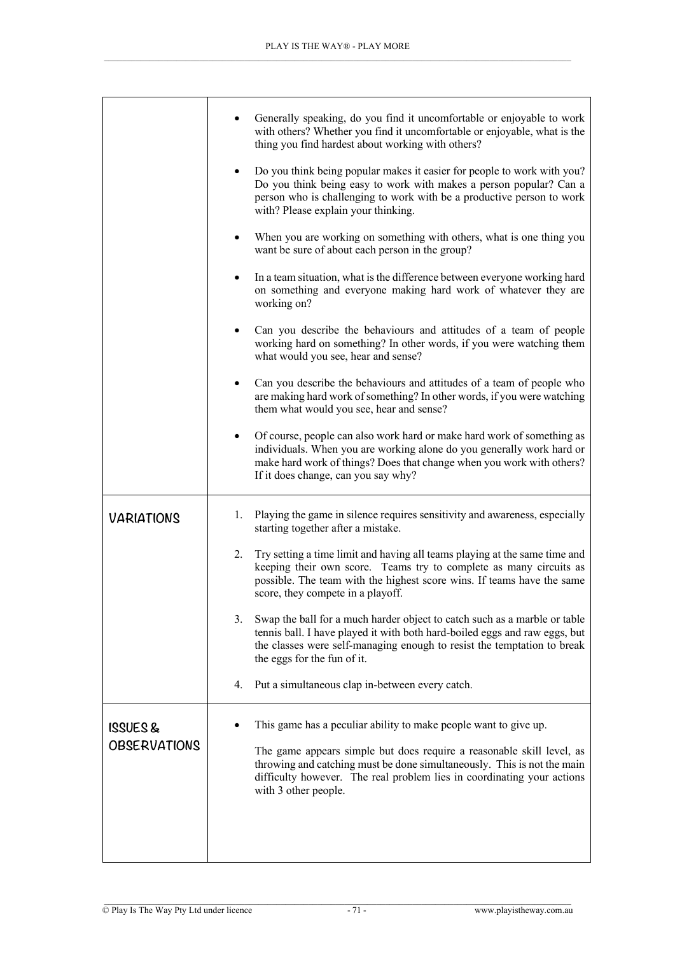|                     | Generally speaking, do you find it uncomfortable or enjoyable to work<br>with others? Whether you find it uncomfortable or enjoyable, what is the<br>thing you find hardest about working with others?                                                                     |
|---------------------|----------------------------------------------------------------------------------------------------------------------------------------------------------------------------------------------------------------------------------------------------------------------------|
|                     | Do you think being popular makes it easier for people to work with you?<br>$\bullet$<br>Do you think being easy to work with makes a person popular? Can a<br>person who is challenging to work with be a productive person to work<br>with? Please explain your thinking. |
|                     | When you are working on something with others, what is one thing you<br>٠<br>want be sure of about each person in the group?                                                                                                                                               |
|                     | In a team situation, what is the difference between everyone working hard<br>٠<br>on something and everyone making hard work of whatever they are<br>working on?                                                                                                           |
|                     | Can you describe the behaviours and attitudes of a team of people<br>٠<br>working hard on something? In other words, if you were watching them<br>what would you see, hear and sense?                                                                                      |
|                     | Can you describe the behaviours and attitudes of a team of people who<br>$\bullet$<br>are making hard work of something? In other words, if you were watching<br>them what would you see, hear and sense?                                                                  |
|                     | Of course, people can also work hard or make hard work of something as<br>٠<br>individuals. When you are working alone do you generally work hard or<br>make hard work of things? Does that change when you work with others?<br>If it does change, can you say why?       |
| <b>VARIATIONS</b>   | Playing the game in silence requires sensitivity and awareness, especially<br>1.<br>starting together after a mistake.                                                                                                                                                     |
|                     | Try setting a time limit and having all teams playing at the same time and<br>2.<br>keeping their own score. Teams try to complete as many circuits as<br>possible. The team with the highest score wins. If teams have the same<br>score, they compete in a playoff.      |
|                     | 3.<br>Swap the ball for a much harder object to catch such as a marble or table<br>tennis ball. I have played it with both hard-boiled eggs and raw eggs, but<br>the classes were self-managing enough to resist the temptation to break<br>the eggs for the fun of it.    |
|                     | 4.<br>Put a simultaneous clap in-between every catch.                                                                                                                                                                                                                      |
| ISSUES&             | This game has a peculiar ability to make people want to give up.                                                                                                                                                                                                           |
| <b>OBSERVATIONS</b> | The game appears simple but does require a reasonable skill level, as<br>throwing and catching must be done simultaneously. This is not the main<br>difficulty however. The real problem lies in coordinating your actions<br>with 3 other people.                         |
|                     |                                                                                                                                                                                                                                                                            |